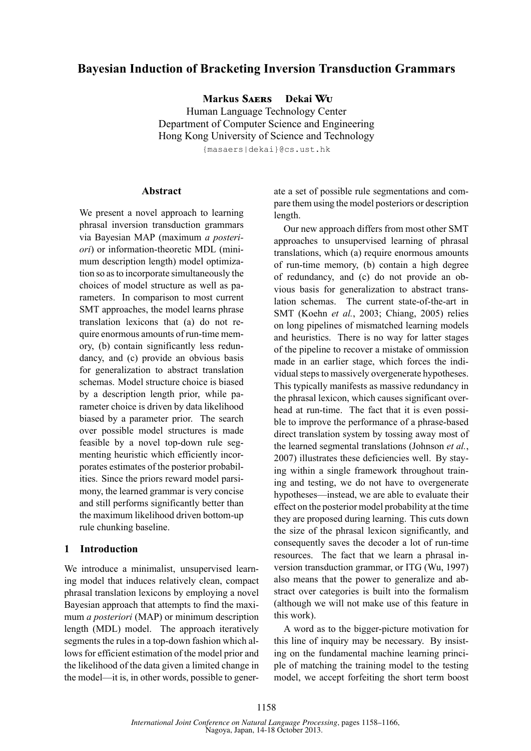# **Bayesian Induction of Bracketing Inversion Transduction Grammars**

**Markus Saers Dekai Wu** Human Language Technology Center

Department of Computer Science and Engineering Hong Kong University of Science and Technology

{masaers|dekai}@cs.ust.hk

### **Abstract**

We present a novel approach to learning phrasal inversion transduction grammars via Bayesian MAP (maximum *a posteriori*) or information-theoretic MDL (minimum description length) model optimization so as to incorporate simultaneously the choices of model structure as well as parameters. In comparison to most current SMT approaches, the model learns phrase translation lexicons that (a) do not require enormous amounts of run-time memory, (b) contain significantly less redundancy, and (c) provide an obvious basis for generalization to abstract translation schemas. Model structure choice is biased by a description length prior, while parameter choice is driven by data likelihood biased by a parameter prior. The search over possible model structures is made feasible by a novel top-down rule segmenting heuristic which efficiently incorporates estimates of the posterior probabilities. Since the priors reward model parsimony, the learned grammar is very concise and still performs significantly better than the maximum likelihood driven bottom-up rule chunking baseline.

## **1 Introduction**

We introduce a minimalist, unsupervised learning model that induces relatively clean, compact phrasal translation lexicons by employing a novel Bayesian approach that attempts to find the maximum *a posteriori* (MAP) or minimum description length (MDL) model. The approach iteratively segments the rules in a top-down fashion which allows for efficient estimation of the model prior and the likelihood of the data given a limited change in the model—it is, in other words, possible to generate a set of possible rule segmentations and compare them using the model posteriors or description length.

Our new approach differs from most other SMT approaches to unsupervised learning of phrasal translations, which (a) require enormous amounts of run-time memory, (b) contain a high degree of redundancy, and (c) do not provide an obvious basis for generalization to abstract translation schemas. The current state-of-the-art in SMT (Koehn *et al.*, 2003; Chiang, 2005) relies on long pipelines of mismatched learning models and heuristics. There is no way for latter stages of the pipeline to recover a mistake of ommission made in an earlier stage, which forces the individual steps to massively overgenerate hypotheses. This typically manifests as massive redundancy in the phrasal lexicon, which causes significant overhead at run-time. The fact that it is even possible to improve the performance of a phrase-based direct translation system by tossing away most of the learned segmental translations (Johnson *et al.*, 2007) illustrates these deficiencies well. By staying within a single framework throughout training and testing, we do not have to overgenerate hypotheses—instead, we are able to evaluate their effect on the posterior model probability at the time they are proposed during learning. This cuts down the size of the phrasal lexicon significantly, and consequently saves the decoder a lot of run-time resources. The fact that we learn a phrasal inversion transduction grammar, or ITG (Wu, 1997) also means that the power to generalize and abstract over categories is built into the formalism (although we will not make use of this feature in this work).

A word as to the bigger-picture motivation for this line of inquiry may be necessary. By insisting on the fundamental machine learning principle of matching the training model to the testing model, we accept forfeiting the short term boost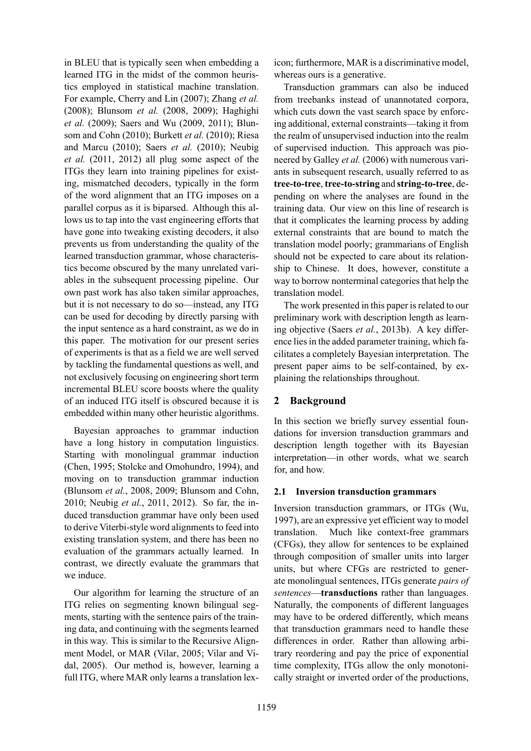in BLEU that is typically seen when embedding a learned ITG in the midst of the common heuristics employed in statistical machine translation. For example, Cherry and Lin (2007); Zhang *et al.* (2008); Blunsom *et al.* (2008, 2009); Haghighi *et al.* (2009); Saers and Wu (2009, 2011); Blunsom and Cohn (2010); Burkett *et al.* (2010); Riesa and Marcu (2010); Saers *et al.* (2010); Neubig *et al.* (2011, 2012) all plug some aspect of the ITGs they learn into training pipelines for existing, mismatched decoders, typically in the form of the word alignment that an ITG imposes on a parallel corpus as it is biparsed. Although this allows us to tap into the vast engineering efforts that have gone into tweaking existing decoders, it also prevents us from understanding the quality of the learned transduction grammar, whose characteristics become obscured by the many unrelated variables in the subsequent processing pipeline. Our own past work has also taken similar approaches, but it is not necessary to do so—instead, any ITG can be used for decoding by directly parsing with the input sentence as a hard constraint, as we do in this paper. The motivation for our present series of experiments is that as a field we are well served by tackling the fundamental questions as well, and not exclusively focusing on engineering short term incremental BLEU score boosts where the quality of an induced ITG itself is obscured because it is embedded within many other heuristic algorithms.

Bayesian approaches to grammar induction have a long history in computation linguistics. Starting with monolingual grammar induction (Chen, 1995; Stolcke and Omohundro, 1994), and moving on to transduction grammar induction (Blunsom *et al.*, 2008, 2009; Blunsom and Cohn, 2010; Neubig *et al.*, 2011, 2012). So far, the induced transduction grammar have only been used to derive Viterbi-style word alignments to feed into existing translation system, and there has been no evaluation of the grammars actually learned. In contrast, we directly evaluate the grammars that we induce.

Our algorithm for learning the structure of an ITG relies on segmenting known bilingual segments, starting with the sentence pairs of the training data, and continuing with the segments learned in this way. This is similar to the Recursive Alignment Model, or MAR (Vilar, 2005; Vilar and Vidal, 2005). Our method is, however, learning a full ITG, where MAR only learns a translation lexicon; furthermore, MAR is a discriminative model, whereas ours is a generative.

Transduction grammars can also be induced from treebanks instead of unannotated corpora, which cuts down the vast search space by enforcing additional, external constraints—taking it from the realm of unsupervised induction into the realm of supervised induction. This approach was pioneered by Galley *et al.* (2006) with numerous variants in subsequent research, usually referred to as **tree-to-tree**, **tree-to-string** and **string-to-tree**, depending on where the analyses are found in the training data. Our view on this line of research is that it complicates the learning process by adding external constraints that are bound to match the translation model poorly; grammarians of English should not be expected to care about its relationship to Chinese. It does, however, constitute a way to borrow nonterminal categories that help the translation model.

The work presented in this paper is related to our preliminary work with description length as learning objective (Saers *et al.*, 2013b). A key difference lies in the added parameter training, which facilitates a completely Bayesian interpretation. The present paper aims to be self-contained, by explaining the relationships throughout.

## **2 Background**

In this section we briefly survey essential foundations for inversion transduction grammars and description length together with its Bayesian interpretation—in other words, what we search for, and how.

### **2.1 Inversion transduction grammars**

Inversion transduction grammars, or ITGs (Wu, 1997), are an expressive yet efficient way to model translation. Much like context-free grammars (CFGs), they allow for sentences to be explained through composition of smaller units into larger units, but where CFGs are restricted to generate monolingual sentences, ITGs generate *pairs of sentences*—**transductions** rather than languages. Naturally, the components of different languages may have to be ordered differently, which means that transduction grammars need to handle these differences in order. Rather than allowing arbitrary reordering and pay the price of exponential time complexity, ITGs allow the only monotonically straight or inverted order of the productions,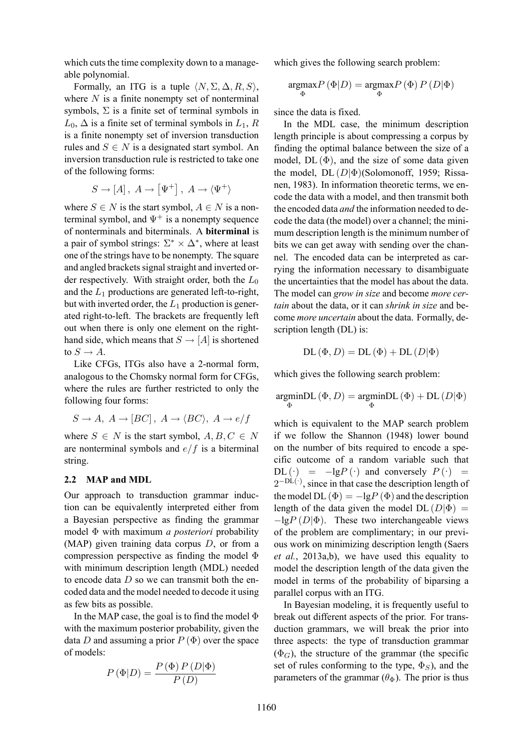which cuts the time complexity down to a manageable polynomial.

Formally, an ITG is a tuple  $\langle N, \Sigma, \Delta, R, S \rangle$ , where *N* is a finite nonempty set of nonterminal symbols,  $\Sigma$  is a finite set of terminal symbols in  $L_0$ ,  $\Delta$  is a finite set of terminal symbols in  $L_1$ ,  $R$ is a finite nonempty set of inversion transduction rules and  $S \in N$  is a designated start symbol. An inversion transduction rule is restricted to take one of the following forms:

$$
S \to [A], \ A \to [\Psi^+], \ A \to \langle \Psi^+ \rangle
$$

where  $S \in N$  is the start symbol,  $A \in N$  is a nonterminal symbol, and  $\Psi^+$  is a nonempty sequence of nonterminals and biterminals. A **biterminal** is a pair of symbol strings:  $\Sigma^* \times \Delta^*$ , where at least one of the strings have to be nonempty. The square and angled brackets signal straight and inverted order respectively. With straight order, both the *L*<sup>0</sup> and the  $L_1$  productions are generated left-to-right, but with inverted order, the *L*<sup>1</sup> production is generated right-to-left. The brackets are frequently left out when there is only one element on the righthand side, which means that  $S \rightarrow [A]$  is shortened to  $S \rightarrow A$ .

Like CFGs, ITGs also have a 2-normal form, analogous to the Chomsky normal form for CFGs, where the rules are further restricted to only the following four forms:

$$
S \to A, A \to [BC], A \to \langle BC \rangle, A \to e/f
$$

where  $S \in N$  is the start symbol,  $A, B, C \in N$ are nonterminal symbols and *e*/*f* is a biterminal string.

#### **2.2 MAP and MDL**

Our approach to transduction grammar induction can be equivalently interpreted either from a Bayesian perspective as finding the grammar model Φ with maximum *a posteriori* probability (MAP) given training data corpus *D*, or from a compression perspective as finding the model Φ with minimum description length (MDL) needed to encode data *D* so we can transmit both the encoded data and the model needed to decode it using as few bits as possible.

In the MAP case, the goal is to find the model  $\Phi$ with the maximum posterior probability, given the data *D* and assuming a prior  $P(\Phi)$  over the space of models:

$$
P(\Phi|D) = \frac{P(\Phi) P(D|\Phi)}{P(D)}
$$

which gives the following search problem:

$$
\underset{\Phi}{\text{argmax}} P\left(\Phi|D\right) = \underset{\Phi}{\text{argmax}} P\left(\Phi\right) P\left(D|\Phi\right)
$$

since the data is fixed.

In the MDL case, the minimum description length principle is about compressing a corpus by finding the optimal balance between the size of a model,  $DL(\Phi)$ , and the size of some data given the model, DL (*D|*Φ)(Solomonoff, 1959; Rissanen, 1983). In information theoretic terms, we encode the data with a model, and then transmit both the encoded data *and* the information needed to decode the data (the model) over a channel; the minimum description length is the minimum number of bits we can get away with sending over the channel. The encoded data can be interpreted as carrying the information necessary to disambiguate the uncertainties that the model has about the data. The model can *grow in size* and become *more certain* about the data, or it can *shrink in size* and become *more uncertain* about the data. Formally, description length (DL) is:

$$
DL(\Phi, D) = DL(\Phi) + DL(D|\Phi)
$$

which gives the following search problem:

$$
\underset{\Phi}{\text{argmin}}\text{DL}\left(\Phi,D\right)=\underset{\Phi}{\text{argmin}}\text{DL}\left(\Phi\right)+\text{DL}\left(D|\Phi\right)
$$

which is equivalent to the MAP search problem if we follow the Shannon (1948) lower bound on the number of bits required to encode a specific outcome of a random variable such that  $DL(\cdot) = -lgP(\cdot)$  and conversely  $P(\cdot) =$ 2<sup>−DL(·)</sup>, since in that case the description length of the model DL  $(\Phi) = -\lg P(\Phi)$  and the description length of the data given the model  $DL (D|\Phi)$  = *−*lg*P* (*D|*Φ). These two interchangeable views of the problem are complimentary; in our previous work on minimizing description length (Saers *et al.*, 2013a,b), we have used this equality to model the description length of the data given the model in terms of the probability of biparsing a parallel corpus with an ITG.

In Bayesian modeling, it is frequently useful to break out different aspects of the prior. For transduction grammars, we will break the prior into three aspects: the type of transduction grammar  $(\Phi_G)$ , the structure of the grammar (the specific set of rules conforming to the type,  $\Phi_S$ ), and the parameters of the grammar  $(\theta_{\Phi})$ . The prior is thus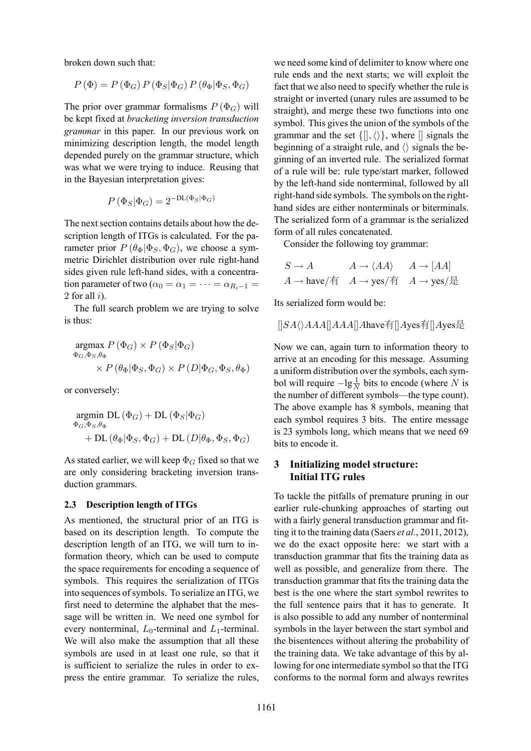broken down such that:

$$
P(\Phi) = P(\Phi_G) P(\Phi_S | \Phi_G) P(\theta_{\Phi} | \Phi_S, \Phi_G)
$$

The prior over grammar formalisms  $P(\Phi_G)$  will be kept fixed at *bracketing inversion transduction grammar* in this paper. In our previous work on minimizing description length, the model length depended purely on the grammar structure, which was what we were trying to induce. Reusing that in the Bayesian interpretation gives:

$$
P(\Phi_S|\Phi_G) = 2^{-\text{DL}(\Phi_S|\Phi_G)}
$$

The next section contains details about how the description length of ITGs is calculated. For the parameter prior  $P(\theta_{\Phi} | \Phi_S, \Phi_G)$ , we choose a symmetric Dirichlet distribution over rule right-hand sides given rule left-hand sides, with a concentration parameter of two ( $\alpha_0 = \alpha_1 = \cdots = \alpha_{R_i-1} =$ 2 for all *i*).

The full search problem we are trying to solve is thus:

$$
\mathop{\arg\max}\limits_{\Phi_{G},\Phi_{S},\theta_{\Phi}} P(\Phi_{G}) \times P(\Phi_{S}|\Phi_{G})
$$
  
\$\times P(\theta\_{\Phi}|\Phi\_{S},\Phi\_{G}) \times P(D|\Phi\_{G},\Phi\_{S},\theta\_{\Phi})\$

or conversely:

$$
\begin{aligned} & \underset{\Phi_{G},\Phi_{S},\theta_{\Phi}}{\text{argmin}} \ \text{DL} \left( \Phi_{G} \right) + \text{DL} \left( \Phi_{S} | \Phi_{G} \right) \\ & + \text{DL} \left( \theta_{\Phi} | \Phi_{S},\Phi_{G} \right) + \text{DL} \left( D | \theta_{\Phi},\Phi_{S},\Phi_{G} \right) \end{aligned}
$$

As stated earlier, we will keep  $\Phi_G$  fixed so that we are only considering bracketing inversion transduction grammars.

#### **2.3 Description length of ITGs**

As mentioned, the structural prior of an ITG is based on its description length. To compute the description length of an ITG, we will turn to information theory, which can be used to compute the space requirements for encoding a sequence of symbols. This requires the serialization of ITGs into sequences of symbols. To serialize an ITG, we first need to determine the alphabet that the message will be written in. We need one symbol for every nonterminal,  $L_0$ -terminal and  $L_1$ -terminal. We will also make the assumption that all these symbols are used in at least one rule, so that it is sufficient to serialize the rules in order to express the entire grammar. To serialize the rules,

we need some kind of delimiter to know where one rule ends and the next starts; we will exploit the fact that we also need to specify whether the rule is straight or inverted (unary rules are assumed to be straight), and merge these two functions into one symbol. This gives the union of the symbols of the grammar and the set *{*[]*,⟨⟩}*, where [] signals the beginning of a straight rule, and *⟨⟩* signals the beginning of an inverted rule. The serialized format of a rule will be: rule type/start marker, followed by the left-hand side nonterminal, followed by all right-hand side symbols. The symbols on the righthand sides are either nonterminals or biterminals. The serialized form of a grammar is the serialized form of all rules concatenated.

Consider the following toy grammar:

$$
S \to A \qquad A \to \langle AA \rangle \qquad A \to [AA]
$$
  

$$
A \to \text{have/$\bar{4}$} \qquad A \to \text{yes/$\bar{4}$} \qquad A \to \text{yes/$\bar{4}$}
$$

Its serialized form would be:

[]*SA⟨⟩AAA*[]*AAA*[]*A*have有[]*A*yes有[]*A*yes是

Now we can, again turn to information theory to arrive at an encoding for this message. Assuming a uniform distribution over the symbols, each symbol will require  $-\lg \frac{1}{N}$  bits to encode (where *N* is the number of different symbols—the type count). The above example has 8 symbols, meaning that each symbol requires 3 bits. The entire message is 23 symbols long, which means that we need 69 bits to encode it.

## **3 Initializing model structure: Initial ITG rules**

To tackle the pitfalls of premature pruning in our earlier rule-chunking approaches of starting out with a fairly general transduction grammar and fitting it to the training data (Saers *et al.*, 2011, 2012), we do the exact opposite here: we start with a transduction grammar that fits the training data as well as possible, and generalize from there. The transduction grammar that fits the training data the best is the one where the start symbol rewrites to the full sentence pairs that it has to generate. It is also possible to add any number of nonterminal symbols in the layer between the start symbol and the bisentences without altering the probability of the training data. We take advantage of this by allowing for one intermediate symbol so that the ITG conforms to the normal form and always rewrites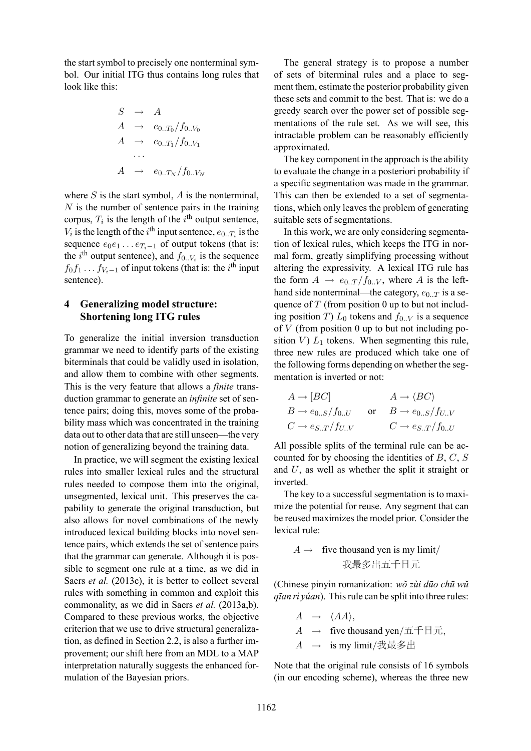the start symbol to precisely one nonterminal symbol. Our initial ITG thus contains long rules that look like this:

$$
S \rightarrow A
$$
  
\n
$$
A \rightarrow e_{0..T_0}/f_{0..V_0}
$$
  
\n
$$
A \rightarrow e_{0..T_1}/f_{0..V_1}
$$
  
\n...  
\n
$$
A \rightarrow e_{0..T_N}/f_{0..V_N}
$$

where *S* is the start symbol, *A* is the nonterminal, *N* is the number of sentence pairs in the training corpus,  $T_i$  is the length of the  $i^{\text{th}}$  output sentence,  $V_i$  is the length of the *i*<sup>th</sup> input sentence,  $e_{0..T_i}$  is the sequence  $e_0e_1 \ldots e_{T_i-1}$  of output tokens (that is: the  $i^{\text{th}}$  output sentence), and  $f_{0..V_i}$  is the sequence  $f_0 f_1 \dots f_{V_i-1}$  of input tokens (that is: the *i*<sup>th</sup> input sentence).

## **4 Generalizing model structure: Shortening long ITG rules**

To generalize the initial inversion transduction grammar we need to identify parts of the existing biterminals that could be validly used in isolation, and allow them to combine with other segments. This is the very feature that allows a *finite* transduction grammar to generate an *infinite* set of sentence pairs; doing this, moves some of the probability mass which was concentrated in the training data out to other data that are still unseen—the very notion of generalizing beyond the training data.

In practice, we will segment the existing lexical rules into smaller lexical rules and the structural rules needed to compose them into the original, unsegmented, lexical unit. This preserves the capability to generate the original transduction, but also allows for novel combinations of the newly introduced lexical building blocks into novel sentence pairs, which extends the set of sentence pairs that the grammar can generate. Although it is possible to segment one rule at a time, as we did in Saers *et al.* (2013c), it is better to collect several rules with something in common and exploit this commonality, as we did in Saers *et al.* (2013a,b). Compared to these previous works, the objective criterion that we use to drive structural generalization, as defined in Section 2.2, is also a further improvement; our shift here from an MDL to a MAP interpretation naturally suggests the enhanced formulation of the Bayesian priors.

The general strategy is to propose a number of sets of biterminal rules and a place to segment them, estimate the posterior probability given these sets and commit to the best. That is: we do a greedy search over the power set of possible segmentations of the rule set. As we will see, this intractable problem can be reasonably efficiently approximated.

The key component in the approach is the ability to evaluate the change in a posteriori probability if a specific segmentation was made in the grammar. This can then be extended to a set of segmentations, which only leaves the problem of generating suitable sets of segmentations.

In this work, we are only considering segmentation of lexical rules, which keeps the ITG in normal form, greatly simplifying processing without altering the expressivity. A lexical ITG rule has the form  $A \rightarrow e_{0..T}/f_{0..V}$ , where *A* is the lefthand side nonterminal—the category,  $e_{0,T}$  is a sequence of *T* (from position 0 up to but not including position *T*)  $L_0$  tokens and  $f_{0,N}$  is a sequence of *V* (from position 0 up to but not including position  $V$ )  $L_1$  tokens. When segmenting this rule, three new rules are produced which take one of the following forms depending on whether the segmentation is inverted or not:

| $A \rightarrow [BC]$            | $A \rightarrow \langle BC \rangle$ |
|---------------------------------|------------------------------------|
| $B \rightarrow e_{0S}/f_{0U}$   | or $B \to e_{0S}/f_{UV}$           |
| $C \rightarrow e_{S.T}/f_{U.V}$ | $C \rightarrow e_{S.T}/f_{0U}$     |

All possible splits of the terminal rule can be accounted for by choosing the identities of *B*, *C*, *S* and *U*, as well as whether the split it straight or inverted.

The key to a successful segmentation is to maximize the potential for reuse. Any segment that can be reused maximizes the model prior. Consider the lexical rule:

*A* 
$$
\rightarrow
$$
 five thousand yen is my limit/  
  $\&$   $\&$   $\&$   $\&$   $\&$   $\&$   $\&$   $\&$   $\&$   $\&$   $\&$   $\&$   $\&$   $\&$   $\&$   $\&$   $\&$   $\&$   $\&$   $\&$   $\&$   $\&$   $\&$   $\&$   $\&$   $\&$   $\&$   $\&$   $\&$   $\&$   $\&$   $\&$   $\&$   $\&$   $\&$   $\&$   $\&$   $\&$   $\&$   $\&$   $\&$   $\&$   $\&$   $\&$   $\&$   $\&$   $\&$   $\&$   $\&$   $\&$   $\&$   $\&$   $\&$   $\&$   $\&$   $\&$   $\&$   $\&$   $\&$   $\&$   $\&$   $\&$   $\&$   $\&$   $\&$   $\&$   $\&$   $\&$   $\&$   $\&$   $\&$   $\&$   $\&$   $\&$   $\&$   $\&$   $\&$   $\&$   $\&$   $\&$   $\&$   $\&$   $\&$   $\&$   $\&$   $\&$   $\&$   $\&$   $\&$   $\&$   $\&$   $\&$   $\&$ 

(Chinese pinyin romanization: *wŏ zùi dūo chū wŭ qīan rì yúan*). This rule can be split into three rules:

$$
A \rightarrow \langle AA \rangle,
$$
  
\n
$$
A \rightarrow \text{five thousand yen/}\pm \text{F} \pm \text{m},
$$
  
\n
$$
A \rightarrow \text{is my limit/}\pm \text{F} \pm \text{m}.
$$

Note that the original rule consists of 16 symbols (in our encoding scheme), whereas the three new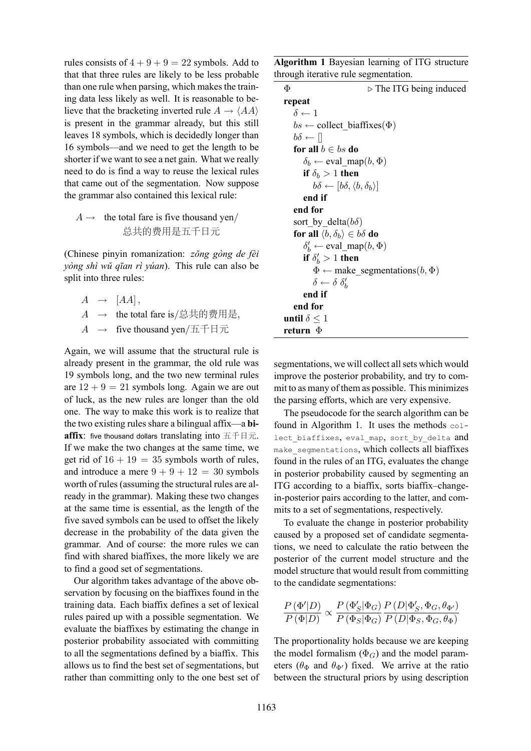rules consists of  $4 + 9 + 9 = 22$  symbols. Add to that that three rules are likely to be less probable than one rule when parsing, which makes the training data less likely as well. It is reasonable to believe that the bracketing inverted rule  $A \rightarrow \langle AA \rangle$ is present in the grammar already, but this still leaves 18 symbols, which is decidedly longer than 16 symbols—and we need to get the length to be shorter if we want to see a net gain. What we really need to do is find a way to reuse the lexical rules that came out of the segmentation. Now suppose the grammar also contained this lexical rule:

A 
$$
\rightarrow
$$
 the total fare is five thousand yen/  
 $\dot{\mathbb{B}} \neq \dot{\mathbb{B}}$ 

(Chinese pinyin romanization: *zŏng gòng de fèi yòng shì wŭ qīan rì yúan*). This rule can also be split into three rules:

- $A \rightarrow [AA],$ *A →* the total fare is/总共的费用是*,*
- *A →* five thousand yen/五千日元

Again, we will assume that the structural rule is already present in the grammar, the old rule was 19 symbols long, and the two new terminal rules are  $12 + 9 = 21$  symbols long. Again we are out of luck, as the new rules are longer than the old one. The way to make this work is to realize that the two existing rules share a bilingual affix—a **biaffix**: five thousand dollars translating into 五千日元. If we make the two changes at the same time, we get rid of  $16 + 19 = 35$  symbols worth of rules, and introduce a mere  $9 + 9 + 12 = 30$  symbols worth of rules (assuming the structural rules are already in the grammar). Making these two changes at the same time is essential, as the length of the five saved symbols can be used to offset the likely decrease in the probability of the data given the grammar. And of course: the more rules we can find with shared biaffixes, the more likely we are to find a good set of segmentations.

Our algorithm takes advantage of the above observation by focusing on the biaffixes found in the training data. Each biaffix defines a set of lexical rules paired up with a possible segmentation. We evaluate the biaffixes by estimating the change in posterior probability associated with committing to all the segmentations defined by a biaffix. This allows us to find the best set of segmentations, but rather than committing only to the one best set of

**Algorithm 1** Bayesian learning of ITG structure through iterative rule segmentation.

| Φ<br>$\triangleright$ The ITG being induced                 |  |
|-------------------------------------------------------------|--|
| repeat                                                      |  |
| $\delta \leftarrow 1$                                       |  |
| $bs \leftarrow$ collect biaffixes( $\Phi$ )                 |  |
| $b\delta \leftarrow   $                                     |  |
| for all $b \in bs$ do                                       |  |
| $\delta_b \leftarrow \text{eval } \text{map}(b, \Phi)$      |  |
| if $\delta_b > 1$ then                                      |  |
| $b\delta \leftarrow [b\delta, \langle b, \delta_b \rangle]$ |  |
| end if                                                      |  |
| end for                                                     |  |
| sort by delta $(b\delta)$                                   |  |
| for all $\langle b, \delta_b \rangle \in b\delta$ do        |  |
| $\delta'_{b} \leftarrow \text{eval\_map}(b, \Phi)$          |  |
| if $\delta'_h > 1$ then                                     |  |
| $\Phi \leftarrow$ make_segmentations( <i>b</i> , $\Phi$ )   |  |
| $\delta \leftarrow \delta \delta'_{h}$                      |  |
| end if                                                      |  |
| end for                                                     |  |
| until $\delta \leq 1$                                       |  |
| return $\Phi$                                               |  |

segmentations, we will collect all sets which would improve the posterior probability, and try to commit to as many of them as possible. This minimizes the parsing efforts, which are very expensive.

The pseudocode for the search algorithm can be found in Algorithm 1. It uses the methods collect\_biaffixes, eval\_map, sort\_by delta and make\_segmentations, which collects all biaffixes found in the rules of an ITG, evaluates the change in posterior probability caused by segmenting an ITG according to a biaffix, sorts biaffix–changein-posterior pairs according to the latter, and commits to a set of segmentations, respectively.

To evaluate the change in posterior probability caused by a proposed set of candidate segmentations, we need to calculate the ratio between the posterior of the current model structure and the model structure that would result from committing to the candidate segmentations:

$$
\frac{P(\Phi'|D)}{P(\Phi|D)} \propto \frac{P(\Phi_S'|\Phi_G)}{P(\Phi_S|\Phi_G)} \frac{P(D|\Phi_S', \Phi_G, \theta_{\Phi'})}{P(D|\Phi_S, \Phi_G, \theta_{\Phi})}
$$

The proportionality holds because we are keeping the model formalism  $(\Phi_G)$  and the model parameters ( $\theta_{\Phi}$  and  $\theta_{\Phi'}$ ) fixed. We arrive at the ratio between the structural priors by using description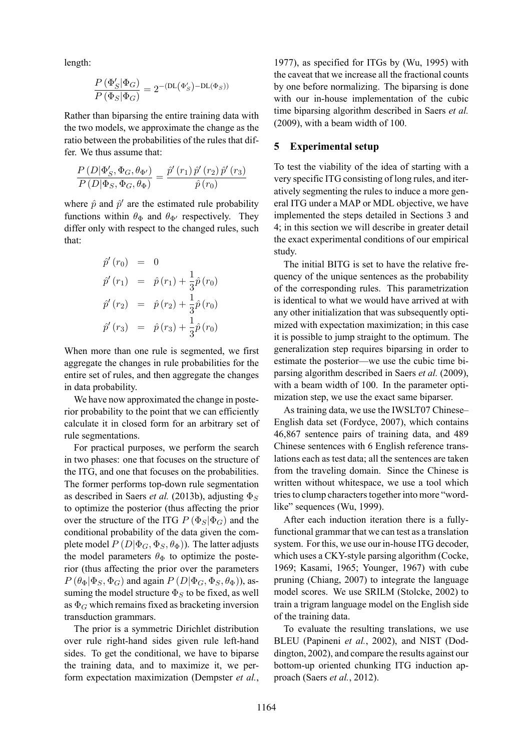length:

$$
\frac{P(\Phi'_{S}|\Phi_{G})}{P(\Phi_{S}|\Phi_{G})} = 2^{-(\text{DL}(\Phi'_{S}) - \text{DL}(\Phi_{S}))}
$$

Rather than biparsing the entire training data with the two models, we approximate the change as the ratio between the probabilities of the rules that differ. We thus assume that:

$$
\frac{P\left(D|\Phi'_{S},\Phi_{G},\theta_{\Phi'}\right)}{P\left(D|\Phi_{S},\Phi_{G},\theta_{\Phi}\right)}=\frac{\hat{p}'\left(r_{1}\right)\hat{p}'\left(r_{2}\right)\hat{p}'\left(r_{3}\right)}{\hat{p}\left(r_{0}\right)}
$$

where  $\hat{p}$  and  $\hat{p}'$  are the estimated rule probability functions within  $\theta_{\Phi}$  and  $\theta_{\Phi'}$  respectively. They differ only with respect to the changed rules, such that:

$$
\hat{p}'(r_0) = 0 \n\hat{p}'(r_1) = \hat{p}(r_1) + \frac{1}{3}\hat{p}(r_0) \n\hat{p}'(r_2) = \hat{p}(r_2) + \frac{1}{3}\hat{p}(r_0) \n\hat{p}'(r_3) = \hat{p}(r_3) + \frac{1}{3}\hat{p}(r_0)
$$

When more than one rule is segmented, we first aggregate the changes in rule probabilities for the entire set of rules, and then aggregate the changes in data probability.

We have now approximated the change in posterior probability to the point that we can efficiently calculate it in closed form for an arbitrary set of rule segmentations.

For practical purposes, we perform the search in two phases: one that focuses on the structure of the ITG, and one that focuses on the probabilities. The former performs top-down rule segmentation as described in Saers *et al.* (2013b), adjusting Φ*<sup>S</sup>* to optimize the posterior (thus affecting the prior over the structure of the ITG  $P$  ( $\Phi_S$ | $\Phi_G$ ) and the conditional probability of the data given the complete model  $P(D|\Phi_G, \Phi_S, \theta_{\Phi})$ ). The latter adjusts the model parameters  $\theta_{\Phi}$  to optimize the posterior (thus affecting the prior over the parameters  $P(\theta_{\Phi}|\Phi_S, \Phi_G)$  and again  $P(D|\Phi_G, \Phi_S, \theta_{\Phi})$ ), assuming the model structure  $\Phi_S$  to be fixed, as well as  $\Phi$ <sup>*G*</sup> which remains fixed as bracketing inversion transduction grammars.

The prior is a symmetric Dirichlet distribution over rule right-hand sides given rule left-hand sides. To get the conditional, we have to biparse the training data, and to maximize it, we perform expectation maximization (Dempster *et al.*,

1977), as specified for ITGs by (Wu, 1995) with the caveat that we increase all the fractional counts by one before normalizing. The biparsing is done with our in-house implementation of the cubic time biparsing algorithm described in Saers *et al.* (2009), with a beam width of 100.

#### **5 Experimental setup**

To test the viability of the idea of starting with a very specific ITG consisting of long rules, and iteratively segmenting the rules to induce a more general ITG under a MAP or MDL objective, we have implemented the steps detailed in Sections 3 and 4; in this section we will describe in greater detail the exact experimental conditions of our empirical study.

The initial BITG is set to have the relative frequency of the unique sentences as the probability of the corresponding rules. This parametrization is identical to what we would have arrived at with any other initialization that was subsequently optimized with expectation maximization; in this case it is possible to jump straight to the optimum. The generalization step requires biparsing in order to estimate the posterior—we use the cubic time biparsing algorithm described in Saers *et al.* (2009), with a beam width of 100. In the parameter optimization step, we use the exact same biparser.

As training data, we use the IWSLT07 Chinese– English data set (Fordyce, 2007), which contains 46,867 sentence pairs of training data, and 489 Chinese sentences with 6 English reference translations each as test data; all the sentences are taken from the traveling domain. Since the Chinese is written without whitespace, we use a tool which tries to clump characters together into more "wordlike" sequences (Wu, 1999).

After each induction iteration there is a fullyfunctional grammar that we can test as a translation system. For this, we use our in-house ITG decoder, which uses a CKY-style parsing algorithm (Cocke, 1969; Kasami, 1965; Younger, 1967) with cube pruning (Chiang, 2007) to integrate the language model scores. We use SRILM (Stolcke, 2002) to train a trigram language model on the English side of the training data.

To evaluate the resulting translations, we use BLEU (Papineni *et al.*, 2002), and NIST (Doddington, 2002), and compare the results against our bottom-up oriented chunking ITG induction approach (Saers *et al.*, 2012).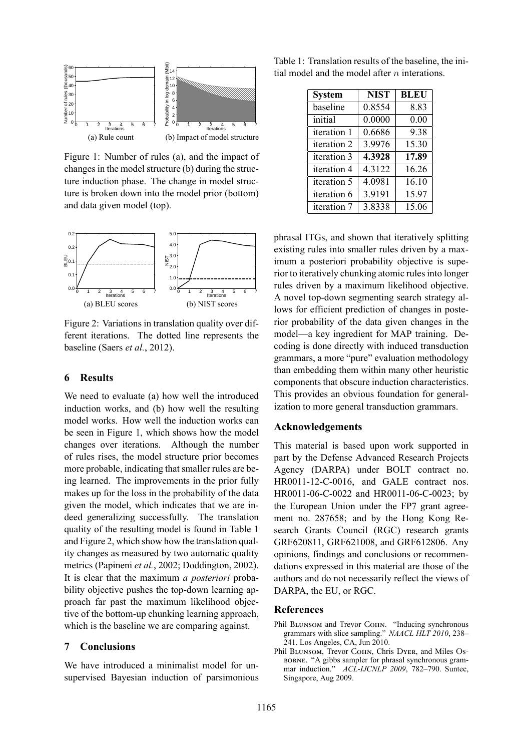

Figure 1: Number of rules (a), and the impact of changes in the model structure (b) during the structure induction phase. The change in model structure is broken down into the model prior (bottom) and data given model (top).



Figure 2: Variations in translation quality over different iterations. The dotted line represents the baseline (Saers *et al.*, 2012).

### **6 Results**

We need to evaluate (a) how well the introduced induction works, and (b) how well the resulting model works. How well the induction works can be seen in Figure 1, which shows how the model changes over iterations. Although the number of rules rises, the model structure prior becomes more probable, indicating that smaller rules are being learned. The improvements in the prior fully makes up for the loss in the probability of the data given the model, which indicates that we are indeed generalizing successfully. The translation quality of the resulting model is found in Table 1 and Figure 2, which show how the translation quality changes as measured by two automatic quality metrics (Papineni *et al.*, 2002; Doddington, 2002). It is clear that the maximum *a posteriori* probability objective pushes the top-down learning approach far past the maximum likelihood objective of the bottom-up chunking learning approach, which is the baseline we are comparing against.

## **7 Conclusions**

We have introduced a minimalist model for unsupervised Bayesian induction of parsimonious

Table 1: Translation results of the baseline, the initial model and the model after *n* interations.

| <b>System</b> | <b>NIST</b> | <b>BLEU</b> |
|---------------|-------------|-------------|
| baseline      | 0.8554      | 8.83        |
| initial       | 0.0000      | 0.00        |
| iteration 1   | 0.6686      | 9.38        |
| iteration 2   | 3.9976      | 15.30       |
| iteration 3   | 4.3928      | 17.89       |
| iteration 4   | 4.3122      | 16.26       |
| iteration 5   | 4.0981      | 16.10       |
| iteration 6   | 3.9191      | 15.97       |
| iteration 7   | 3.8338      | 15.06       |

phrasal ITGs, and shown that iteratively splitting existing rules into smaller rules driven by a maximum a posteriori probability objective is superior to iteratively chunking atomic rules into longer rules driven by a maximum likelihood objective. A novel top-down segmenting search strategy allows for efficient prediction of changes in posterior probability of the data given changes in the model—a key ingredient for MAP training. Decoding is done directly with induced transduction grammars, a more "pure" evaluation methodology than embedding them within many other heuristic components that obscure induction characteristics. This provides an obvious foundation for generalization to more general transduction grammars.

### **Acknowledgements**

This material is based upon work supported in part by the Defense Advanced Research Projects Agency (DARPA) under BOLT contract no. HR0011-12-C-0016, and GALE contract nos. HR0011-06-C-0022 and HR0011-06-C-0023; by the European Union under the FP7 grant agreement no. 287658; and by the Hong Kong Research Grants Council (RGC) research grants GRF620811, GRF621008, and GRF612806. Any opinions, findings and conclusions or recommendations expressed in this material are those of the authors and do not necessarily reflect the views of DARPA, the EU, or RGC.

### **References**

- Phil BLUNSOM and Trevor COHN. "Inducing synchronous grammars with slice sampling." *NAACL HLT 2010*, 238– 241. Los Angeles, CA, Jun 2010.
- Phil BLUNSOM, Trevor COHN, Chris DYER, and Miles Osborne. "A gibbs sampler for phrasal synchronous grammar induction." *ACL-IJCNLP 2009*, 782–790. Suntec, Singapore, Aug 2009.